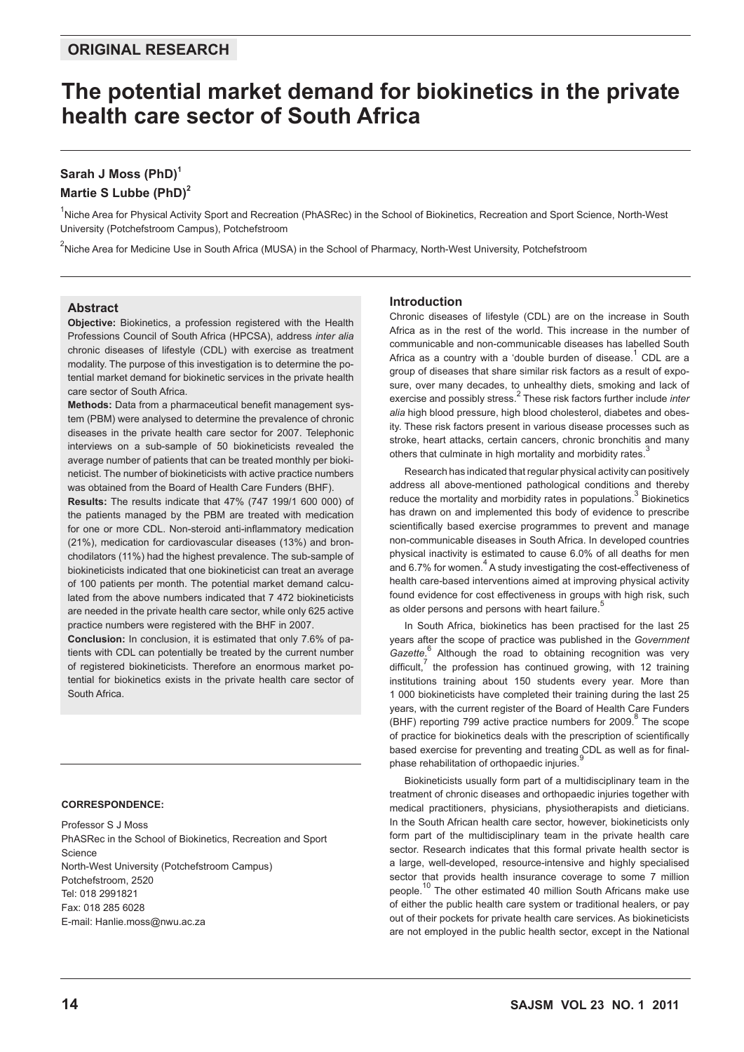## **original research**

# **The potential market demand for biokinetics in the private health care sector of South Africa**

## **Sarah J Moss (PhD)<sup>1</sup>**

## **Martie S Lubbe (PhD)2**

<sup>1</sup>Niche Area for Physical Activity Sport and Recreation (PhASRec) in the School of Biokinetics, Recreation and Sport Science, North-West University (Potchefstroom Campus), Potchefstroom

<sup>2</sup>Niche Area for Medicine Use in South Africa (MUSA) in the School of Pharmacy, North-West University, Potchefstroom

## **Abstract**

**Objective:** Biokinetics, a profession registered with the Health Professions Council of South Africa (HPCSA), address *inter alia* chronic diseases of lifestyle (CDL) with exercise as treatment modality. The purpose of this investigation is to determine the potential market demand for biokinetic services in the private health care sector of South Africa.

**Methods:** Data from a pharmaceutical benefit management system (PBM) were analysed to determine the prevalence of chronic diseases in the private health care sector for 2007. Telephonic interviews on a sub-sample of 50 biokineticists revealed the average number of patients that can be treated monthly per biokineticist. The number of biokineticists with active practice numbers was obtained from the Board of Health Care Funders (BHF).

**Results:** The results indicate that 47% (747 199/1 600 000) of the patients managed by the PBM are treated with medication for one or more CDL. Non-steroid anti-inflammatory medication (21%), medication for cardiovascular diseases (13%) and bronchodilators (11%) had the highest prevalence. The sub-sample of biokineticists indicated that one biokineticist can treat an average of 100 patients per month. The potential market demand calculated from the above numbers indicated that 7 472 biokineticists are needed in the private health care sector, while only 625 active practice numbers were registered with the BHF in 2007.

**Conclusion:** In conclusion, it is estimated that only 7.6% of patients with CDL can potentially be treated by the current number of registered biokineticists. Therefore an enormous market potential for biokinetics exists in the private health care sector of South Africa.

## **CORRESPONDENCE:**

Professor S J Moss PhASRec in the School of Biokinetics, Recreation and Sport Science North-West University (Potchefstroom Campus) Potchefstroom, 2520 Tel: 018 2991821 Fax: 018 285 6028 E-mail: Hanlie.moss@nwu.ac.za

## **Introduction**

Chronic diseases of lifestyle (CDL) are on the increase in South Africa as in the rest of the world. This increase in the number of communicable and non-communicable diseases has labelled South Africa as a country with a 'double burden of disease. $1$  CDL are a group of diseases that share similar risk factors as a result of exposure, over many decades, to unhealthy diets, smoking and lack of exercise and possibly stress.<sup>2</sup> These risk factors further include *inter alia* high blood pressure, high blood cholesterol, diabetes and obesity. These risk factors present in various disease processes such as stroke, heart attacks, certain cancers, chronic bronchitis and many others that culminate in high mortality and morbidity rates.

Research has indicated that regular physical activity can positively address all above-mentioned pathological conditions and thereby reduce the mortality and morbidity rates in populations.<sup>3</sup> Biokinetics has drawn on and implemented this body of evidence to prescribe scientifically based exercise programmes to prevent and manage non-communicable diseases in South Africa. In developed countries physical inactivity is estimated to cause 6.0% of all deaths for men and 6.7% for women.<sup>4</sup> A study investigating the cost-effectiveness of health care-based interventions aimed at improving physical activity found evidence for cost effectiveness in groups with high risk, such as older persons and persons with heart failure.

In South Africa, biokinetics has been practised for the last 25 years after the scope of practice was published in the *Government*  Gazette.<sup>6</sup> Although the road to obtaining recognition was very difficult,<sup>7</sup> the profession has continued growing, with 12 training institutions training about 150 students every year. More than 1 000 biokineticists have completed their training during the last 25 years, with the current register of the Board of Health Care Funders  $(BHF)$  reporting 799 active practice numbers for 2009. <sup>8</sup> The scope of practice for biokinetics deals with the prescription of scientifically based exercise for preventing and treating CDL as well as for finalphase rehabilitation of orthopaedic injuries.<sup>9</sup>

Biokineticists usually form part of a multidisciplinary team in the treatment of chronic diseases and orthopaedic injuries together with medical practitioners, physicians, physiotherapists and dieticians. In the South African health care sector, however, biokineticists only form part of the multidisciplinary team in the private health care sector. Research indicates that this formal private health sector is a large, well-developed, resource-intensive and highly specialised sector that provids health insurance coverage to some 7 million people.10 The other estimated 40 million South Africans make use of either the public health care system or traditional healers, or pay out of their pockets for private health care services. As biokineticists are not employed in the public health sector, except in the National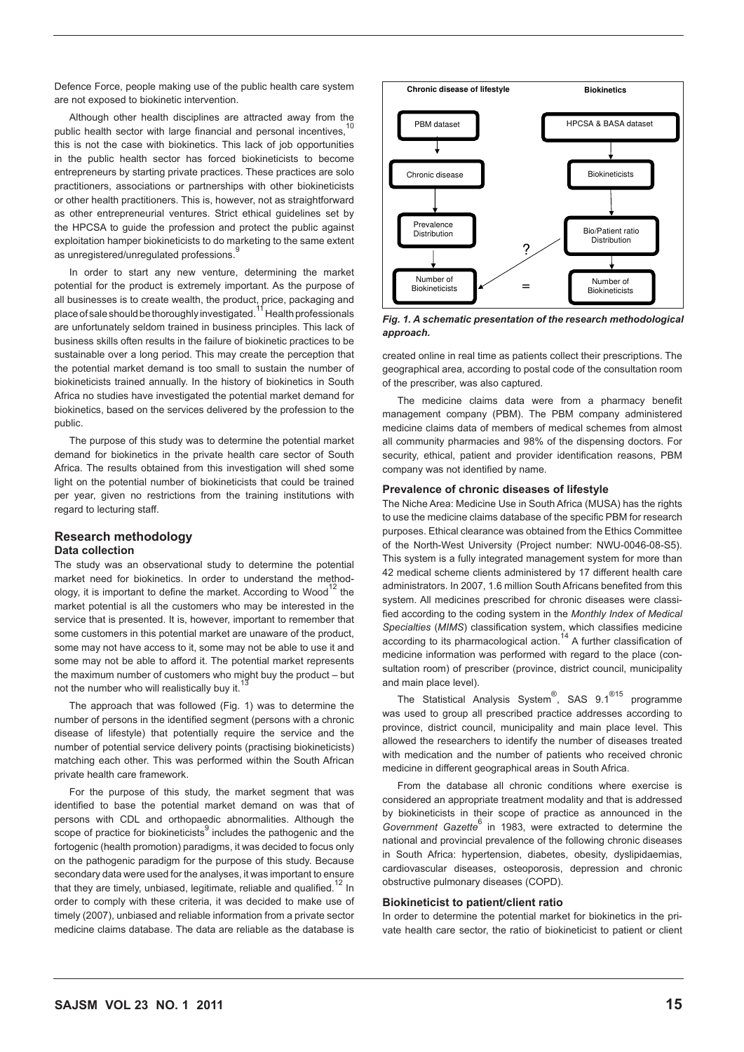Defence Force, people making use of the public health care system are not exposed to biokinetic intervention.

Although other health disciplines are attracted away from the public health sector with large financial and personal incentives.<sup>10</sup> this is not the case with biokinetics. This lack of job opportunities in the public health sector has forced biokineticists to become entrepreneurs by starting private practices. These practices are solo practitioners, associations or partnerships with other biokineticists or other health practitioners. This is, however, not as straightforward as other entrepreneurial ventures. Strict ethical guidelines set by the HPCSA to guide the profession and protect the public against exploitation hamper biokineticists to do marketing to the same extent as unregistered/unregulated professions.

In order to start any new venture, determining the market potential for the product is extremely important. As the purpose of all businesses is to create wealth, the product, price, packaging and<br>place of sale should be thoroughly investigated.<sup>11</sup> Health professionals are unfortunately seldom trained in business principles. This lack of business skills often results in the failure of biokinetic practices to be sustainable over a long period. This may create the perception that the potential market demand is too small to sustain the number of biokineticists trained annually. In the history of biokinetics in South Africa no studies have investigated the potential market demand for biokinetics, based on the services delivered by the profession to the public.

The purpose of this study was to determine the potential market demand for biokinetics in the private health care sector of South Africa. The results obtained from this investigation will shed some light on the potential number of biokineticists that could be trained per year, given no restrictions from the training institutions with regard to lecturing staff.

## **Research methodology Data collection**

The study was an observational study to determine the potential market need for biokinetics. In order to understand the methodology, it is important to define the market. According to Wood<sup>12</sup> the market potential is all the customers who may be interested in the service that is presented. It is, however, important to remember that some customers in this potential market are unaware of the product, some may not have access to it, some may not be able to use it and some may not be able to afford it. The potential market represents the maximum number of customers who might buy the product – but not the number who will realistically buy it.

The approach that was followed (Fig. 1) was to determine the number of persons in the identified segment (persons with a chronic disease of lifestyle) that potentially require the service and the number of potential service delivery points (practising biokineticists) matching each other. This was performed within the South African private health care framework.

For the purpose of this study, the market segment that was identified to base the potential market demand on was that of persons with CDL and orthopaedic abnormalities. Although the scope of practice for biokineticists $9$  includes the pathogenic and the fortogenic (health promotion) paradigms, it was decided to focus only on the pathogenic paradigm for the purpose of this study. Because secondary data were used for the analyses, it was important to ensure that they are timely, unbiased, legitimate, reliable and qualified.<sup>12</sup> In order to comply with these criteria, it was decided to make use of timely (2007), unbiased and reliable information from a private sector medicine claims database. The data are reliable as the database is



*Fig. 1. A schematic presentation of the research methodological approach. Fig. 1. A schematic presentation of the research methodological approach.*

created online in real time as patients collect their prescriptions. The geographical area, according to postal code of the consultation room of the prescriber, was also captured.

The medicine claims data were from a pharmacy benefit management company (PBM). The PBM company administered medicine claims data of members of medical schemes from almost all community pharmacies and 98% of the dispensing doctors. For security, ethical, patient and provider identification reasons, PBM company was not identified by name.

## **Prevalence of chronic diseases of lifestyle**

The Niche Area: Medicine Use in South Africa (MUSA) has the rights to use the medicine claims database of the specific PBM for research purposes. Ethical clearance was obtained from the Ethics Committee of the North-West University (Project number: NWU-0046-08-S5). This system is a fully integrated management system for more than 42 medical scheme clients administered by 17 different health care administrators. In 2007, 1.6 million South Africans benefited from this system. All medicines prescribed for chronic diseases were classified according to the coding system in the *Monthly Index of Medical Specialties* (*MIMS*) classification system, which classifies medicine according to its pharmacological action.<sup>14</sup> A further classification of medicine information was performed with regard to the place (consultation room) of prescriber (province, district council, municipality and main place level).

The Statistical Analysis System<sup>®</sup>, SAS 9.1<sup>®15</sup> programme was used to group all prescribed practice addresses according to province, district council, municipality and main place level. This allowed the researchers to identify the number of diseases treated with medication and the number of patients who received chronic medicine in different geographical areas in South Africa.

From the database all chronic conditions where exercise is considered an appropriate treatment modality and that is addressed by biokineticists in their scope of practice as announced in the Government Gazette<sup>6</sup> in 1983, were extracted to determine the national and provincial prevalence of the following chronic diseases in South Africa: hypertension, diabetes, obesity, dyslipidaemias, cardiovascular diseases, osteoporosis, depression and chronic obstructive pulmonary diseases (COPD).

#### **Biokineticist to patient/client ratio**

In order to determine the potential market for biokinetics in the private health care sector, the ratio of biokineticist to patient or client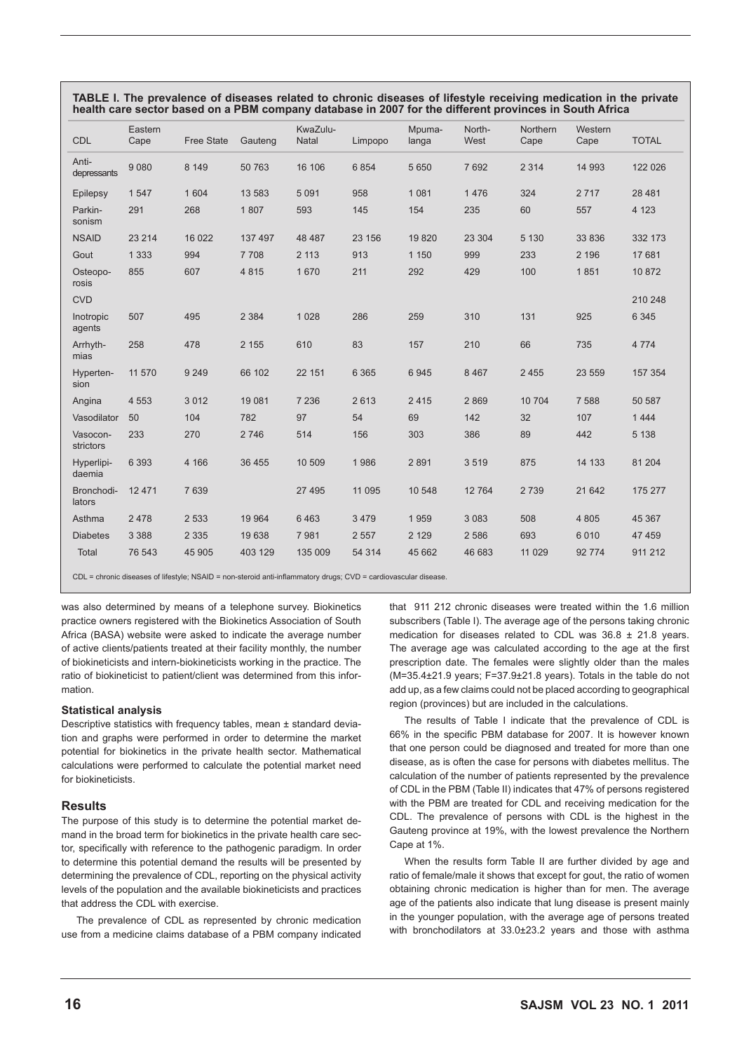| <b>CDL</b>            | Eastern<br>Cape | <b>Free State</b> | Gauteng | KwaZulu-<br>Natal | Limpopo | Mpuma-<br>langa | North-<br>West | <b>Northern</b><br>Cape | Western<br>Cape | <b>TOTAL</b> |
|-----------------------|-----------------|-------------------|---------|-------------------|---------|-----------------|----------------|-------------------------|-----------------|--------------|
| Anti-<br>depressants  | 9080            | 8 1 4 9           | 50 763  | 16 10 6           | 6854    | 5 6 5 0         | 7692           | 2 3 1 4                 | 14 9 93         | 122 026      |
| Epilepsy              | 1 5 4 7         | 1 604             | 13 583  | 5 0 9 1           | 958     | 1 0 8 1         | 1476           | 324                     | 2 7 1 7         | 28 4 8 1     |
| Parkin-<br>sonism     | 291             | 268               | 1807    | 593               | 145     | 154             | 235            | 60                      | 557             | 4 1 2 3      |
| <b>NSAID</b>          | 23 214          | 16 0 22           | 137 497 | 48 487            | 23 156  | 19820           | 23 304         | 5 1 3 0                 | 33 836          | 332 173      |
| Gout                  | 1 3 3 3         | 994               | 7708    | 2 1 1 3           | 913     | 1 1 5 0         | 999            | 233                     | 2 1 9 6         | 17 681       |
| Osteopo-<br>rosis     | 855             | 607               | 4815    | 1 670             | 211     | 292             | 429            | 100                     | 1851            | 10872        |
| <b>CVD</b>            |                 |                   |         |                   |         |                 |                |                         |                 | 210 248      |
| Inotropic<br>agents   | 507             | 495               | 2 3 8 4 | 1 0 2 8           | 286     | 259             | 310            | 131                     | 925             | 6 3 4 5      |
| Arrhyth-<br>mias      | 258             | 478               | 2 1 5 5 | 610               | 83      | 157             | 210            | 66                      | 735             | 4 7 7 4      |
| Hyperten-<br>sion     | 11 570          | 9 2 4 9           | 66 102  | 22 151            | 6 3 6 5 | 6945            | 8 4 6 7        | 2 4 5 5                 | 23 559          | 157 354      |
| Angina                | 4 5 5 3         | 3 0 1 2           | 19 081  | 7 2 3 6           | 2613    | 2415            | 2869           | 10 704                  | 7 5 8 8         | 50 587       |
| Vasodilator           | 50              | 104               | 782     | 97                | 54      | 69              | 142            | 32                      | 107             | 1444         |
| Vasocon-<br>strictors | 233             | 270               | 2746    | 514               | 156     | 303             | 386            | 89                      | 442             | 5 1 3 8      |
| Hyperlipi-<br>daemia  | 6 3 9 3         | 4 1 6 6           | 36 455  | 10 509            | 1986    | 2891            | 3519           | 875                     | 14 133          | 81 204       |
| Bronchodi-<br>lators  | 12 4 7 1        | 7 6 3 9           |         | 27 495            | 11 095  | 10 548          | 12764          | 2739                    | 21 642          | 175 277      |
| Asthma                | 2478            | 2 5 3 3           | 19 9 64 | 6 4 6 3           | 3 4 7 9 | 1959            | 3 0 8 3        | 508                     | 4 8 0 5         | 45 367       |
| <b>Diabetes</b>       | 3 3 8 8         | 2 3 3 5           | 19638   | 7981              | 2 5 5 7 | 2 1 2 9         | 2 5 8 6        | 693                     | 6010            | 47 459       |
| Total                 | 76 543          | 45 905            | 403 129 | 135 009           | 54 314  | 45 662          | 46 683         | 11 0 29                 | 92 774          | 911 212      |

**TABLE I. The prevalence of diseases related to chronic diseases of lifestyle receiving medication in the private health care sector based on a PBM company database in 2007 for the different provinces in South Africa**

CDL = chronic diseases of lifestyle; NSAID = non-steroid anti-inflammatory drugs; CVD = cardiovascular disease.

was also determined by means of a telephone survey. Biokinetics practice owners registered with the Biokinetics Association of South Africa (BASA) website were asked to indicate the average number of active clients/patients treated at their facility monthly, the number of biokineticists and intern-biokineticists working in the practice. The ratio of biokineticist to patient/client was determined from this information.

## **Statistical analysis**

Descriptive statistics with frequency tables, mean ± standard deviation and graphs were performed in order to determine the market potential for biokinetics in the private health sector. Mathematical calculations were performed to calculate the potential market need for biokineticists.

## **Results**

The purpose of this study is to determine the potential market demand in the broad term for biokinetics in the private health care sector, specifically with reference to the pathogenic paradigm. In order to determine this potential demand the results will be presented by determining the prevalence of CDL, reporting on the physical activity levels of the population and the available biokineticists and practices that address the CDL with exercise.

The prevalence of CDL as represented by chronic medication use from a medicine claims database of a PBM company indicated that 911 212 chronic diseases were treated within the 1.6 million subscribers (Table I). The average age of the persons taking chronic medication for diseases related to CDL was 36.8 ± 21.8 years. The average age was calculated according to the age at the first prescription date. The females were slightly older than the males (M=35.4±21.9 years; F=37.9±21.8 years). Totals in the table do not add up, as a few claims could not be placed according to geographical region (provinces) but are included in the calculations.

The results of Table I indicate that the prevalence of CDL is 66% in the specific PBM database for 2007. It is however known that one person could be diagnosed and treated for more than one disease, as is often the case for persons with diabetes mellitus. The calculation of the number of patients represented by the prevalence of CDL in the PBM (Table II) indicates that 47% of persons registered with the PBM are treated for CDL and receiving medication for the CDL. The prevalence of persons with CDL is the highest in the Gauteng province at 19%, with the lowest prevalence the Northern Cape at 1%.

When the results form Table II are further divided by age and ratio of female/male it shows that except for gout, the ratio of women obtaining chronic medication is higher than for men. The average age of the patients also indicate that lung disease is present mainly in the younger population, with the average age of persons treated with bronchodilators at 33.0±23.2 years and those with asthma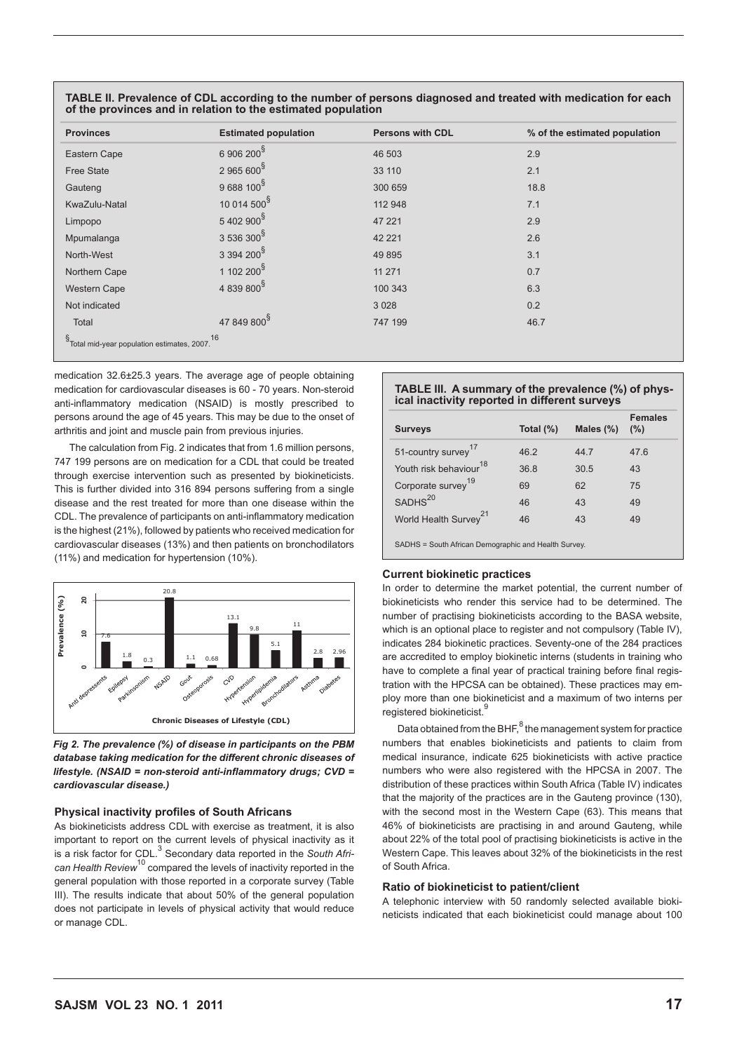| <b>Provinces</b>                                | <b>Estimated population</b> | <b>Persons with CDL</b> | % of the estimated population |  |
|-------------------------------------------------|-----------------------------|-------------------------|-------------------------------|--|
| Eastern Cape                                    | 6 906 200 <sup>§</sup>      | 46 503                  | 2.9                           |  |
| <b>Free State</b>                               | $2965600^8$                 | 33 110                  | 2.1                           |  |
| Gauteng                                         | 9688 100 <sup>§</sup>       | 300 659                 | 18.8                          |  |
| KwaZulu-Natal                                   | 10 014 500 <sup>§</sup>     | 112 948                 | 7.1                           |  |
| Limpopo                                         | 5402900 <sup>§</sup>        | 47 221                  | 2.9                           |  |
| Mpumalanga                                      | 3 536 300 <sup>§</sup>      | 42 2 2 1                | 2.6                           |  |
| North-West                                      | $3394200^{\$}$              | 49 8 95                 | 3.1                           |  |
| Northern Cape                                   | 1 102 200 <sup>§</sup>      | 11 271                  | 0.7                           |  |
| Western Cape                                    | 4 839 800 <sup>§</sup>      | 100 343                 | 6.3                           |  |
| Not indicated                                   |                             | 3 0 28                  | 0.2                           |  |
| Total                                           | 47 849 800 <sup>§</sup>     | 747 199                 | 46.7                          |  |
| §<br>Total mid-year population estimates, 2007. | 16                          |                         |                               |  |

**TABLE II. Prevalence of CDL according to the number of persons diagnosed and treated with medication for each of the provinces and in relation to the estimated population**

medication 32.6±25.3 years. The average age of people obtaining medication for cardiovascular diseases is 60 - 70 years. Non-steroid anti-inflammatory medication (NSAID) is mostly prescribed to persons around the age of 45 years. This may be due to the onset of arthritis and joint and muscle pain from previous injuries.

The calculation from Fig. 2 indicates that from 1.6 million persons, 747 199 persons are on medication for a CDL that could be treated through exercise intervention such as presented by biokineticists. This is further divided into 316 894 persons suffering from a single disease and the rest treated for more than one disease within the CDL. The prevalence of participants on anti-inflammatory medication is the highest (21%), followed by patients who received medication for cardiovascular diseases (13%) and then patients on bronchodilators (11%) and medication for hypertension (10%).



Fig 2. The prevalence (%) of disease in participants on the PBM **medication for the different chronic diseases of lifestyle. (NSAID =** *database taking medication for the different chronic diseases of*  **non-steroid anti-inflammatory drugs; CVD = cardiovascular disease** *lifestyle. (NSAID = non-steroid anti-inflammatory drugs; CVD = cardiovascular disease.)*

## **Physical inactivity profiles of South Africans**

As biokineticists address CDL with exercise as treatment, it is also important to report on the current levels of physical inactivity as it is a risk factor for CDL.<sup>3</sup> Secondary data reported in the *South African Health Review*10 compared the levels of inactivity reported in the general population with those reported in a corporate survey (Table III). The results indicate that about 50% of the general population does not participate in levels of physical activity that would reduce or manage CDL.

## **TABLE III. A summary of the prevalence (%) of physical inactivity reported in different surveys**

| <b>Surveys</b>                     | Total $(\%)$ | Males $(\%)$ | <b>Females</b><br>(%) |
|------------------------------------|--------------|--------------|-----------------------|
| 51-country survey <sup>17</sup>    | 46.2         | 44.7         | 47.6                  |
| Youth risk behaviour <sup>18</sup> | 36.8         | 30.5         | 43                    |
| Corporate survey <sup>19</sup>     | 69           | 62           | 75                    |
| SADHS <sup>20</sup>                | 46           | 43           | 49                    |
| World Health Survey <sup>21</sup>  | 46           | 43           | 49                    |
|                                    |              |              |                       |

SADHS = South African Demographic and Health Survey.

## **Current biokinetic practices**

In order to determine the market potential, the current number of biokineticists who render this service had to be determined. The number of practising biokineticists according to the BASA website, which is an optional place to register and not compulsory (Table IV), indicates 284 biokinetic practices. Seventy-one of the 284 practices are accredited to employ biokinetic interns (students in training who have to complete a final year of practical training before final registration with the HPCSA can be obtained). These practices may employ more than one biokineticist and a maximum of two interns per registered biokineticist.

Data obtained from the BHF,<sup>8</sup> the management system for practice numbers that enables biokineticists and patients to claim from medical insurance, indicate 625 biokineticists with active practice numbers who were also registered with the HPCSA in 2007. The distribution of these practices within South Africa (Table IV) indicates that the majority of the practices are in the Gauteng province (130), with the second most in the Western Cape (63). This means that 46% of biokineticists are practising in and around Gauteng, while about 22% of the total pool of practising biokineticists is active in the Western Cape. This leaves about 32% of the biokineticists in the rest of South Africa.

## **Ratio of biokineticist to patient/client**

A telephonic interview with 50 randomly selected available biokineticists indicated that each biokineticist could manage about 100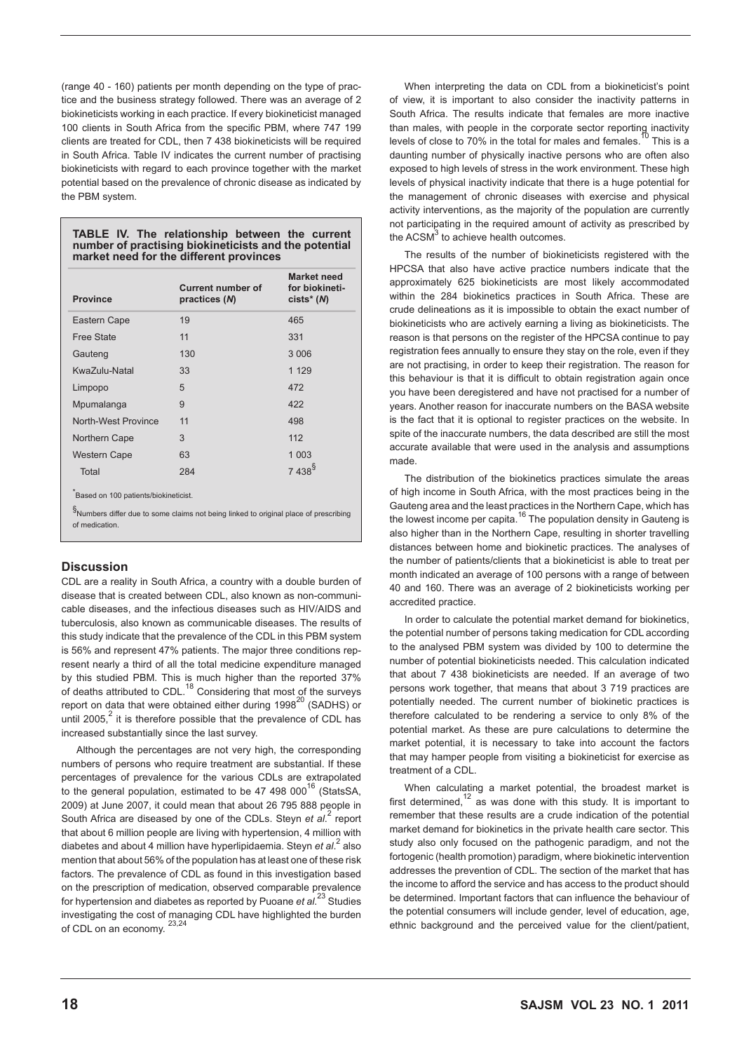(range 40 - 160) patients per month depending on the type of practice and the business strategy followed. There was an average of 2 biokineticists working in each practice. If every biokineticist managed 100 clients in South Africa from the specific PBM, where 747 199 clients are treated for CDL, then 7 438 biokineticists will be required in South Africa. Table IV indicates the current number of practising biokineticists with regard to each province together with the market potential based on the prevalence of chronic disease as indicated by the PBM system.

## **TABLE IV. The relationship between the current number of practising biokineticists and the potential market need for the different provinces**

| <b>Province</b>                      | <b>Current number of</b><br>practices (N) | <b>Market need</b><br>for biokineti-<br>$cists*(N)$ |
|--------------------------------------|-------------------------------------------|-----------------------------------------------------|
| Eastern Cape                         | 19                                        | 465                                                 |
| <b>Free State</b>                    | 11                                        | 331                                                 |
| Gauteng                              | 130                                       | 3 0 0 6                                             |
| KwaZulu-Natal                        | 33                                        | 1 1 2 9                                             |
| Limpopo                              | 5                                         | 472                                                 |
| Mpumalanga                           | 9                                         | 422                                                 |
| North-West Province                  | 11                                        | 498                                                 |
| Northern Cape                        | 3                                         | 112                                                 |
| <b>Western Cape</b>                  | 63                                        | 1 0 0 3                                             |
| Total                                | 284                                       | $7438^{\$}$                                         |
| Based on 100 patients/biokineticist. |                                           |                                                     |

§ Numbers differ due to some claims not being linked to original place of prescribing of medication.

## **Discussion**

CDL are a reality in South Africa, a country with a double burden of disease that is created between CDL, also known as non-communicable diseases, and the infectious diseases such as HIV/AIDS and tuberculosis, also known as communicable diseases. The results of this study indicate that the prevalence of the CDL in this PBM system is 56% and represent 47% patients. The major three conditions represent nearly a third of all the total medicine expenditure managed by this studied PBM. This is much higher than the reported 37% of deaths attributed to CDL.<sup>18</sup> Considering that most of the surveys report on data that were obtained either during  $1998^{20}$  (SADHS) or until 2005, $^2$  it is therefore possible that the prevalence of CDL has increased substantially since the last survey.

Although the percentages are not very high, the corresponding numbers of persons who require treatment are substantial. If these percentages of prevalence for the various CDLs are extrapolated to the general population, estimated to be  $47,498,000^{16}$  (StatsSA, 2009) at June 2007, it could mean that about 26 795 888 people in South Africa are diseased by one of the CDLs. Steyn *et al.*<sup>2</sup> report that about 6 million people are living with hypertension, 4 million with diabetes and about 4 million have hyperlipidaemia. Steyn et al.<sup>2</sup> also mention that about 56% of the population has at least one of these risk factors. The prevalence of CDL as found in this investigation based on the prescription of medication, observed comparable prevalence for hypertension and diabetes as reported by Puoane *et al*. 23 Studies investigating the cost of managing CDL have highlighted the burden of CDL on an economy.  $23,24$ 

When interpreting the data on CDL from a biokineticist's point of view, it is important to also consider the inactivity patterns in South Africa. The results indicate that females are more inactive than males, with people in the corporate sector reporting inactivity levels of close to 70% in the total for males and females.<sup>10</sup> This is a daunting number of physically inactive persons who are often also exposed to high levels of stress in the work environment. These high levels of physical inactivity indicate that there is a huge potential for the management of chronic diseases with exercise and physical activity interventions, as the majority of the population are currently not participating in the required amount of activity as prescribed by the  $ACSM<sup>3</sup>$  to achieve health outcomes.

The results of the number of biokineticists registered with the HPCSA that also have active practice numbers indicate that the approximately 625 biokineticists are most likely accommodated within the 284 biokinetics practices in South Africa. These are crude delineations as it is impossible to obtain the exact number of biokineticists who are actively earning a living as biokineticists. The reason is that persons on the register of the HPCSA continue to pay registration fees annually to ensure they stay on the role, even if they are not practising, in order to keep their registration. The reason for this behaviour is that it is difficult to obtain registration again once you have been deregistered and have not practised for a number of years. Another reason for inaccurate numbers on the BASA website is the fact that it is optional to register practices on the website. In spite of the inaccurate numbers, the data described are still the most accurate available that were used in the analysis and assumptions made.

The distribution of the biokinetics practices simulate the areas of high income in South Africa, with the most practices being in the Gauteng area and the least practices in the Northern Cape, which has the lowest income per capita.<sup>16</sup> The population density in Gauteng is also higher than in the Northern Cape, resulting in shorter travelling distances between home and biokinetic practices. The analyses of the number of patients/clients that a biokineticist is able to treat per month indicated an average of 100 persons with a range of between 40 and 160. There was an average of 2 biokineticists working per accredited practice.

In order to calculate the potential market demand for biokinetics, the potential number of persons taking medication for CDL according to the analysed PBM system was divided by 100 to determine the number of potential biokineticists needed. This calculation indicated that about 7 438 biokineticists are needed. If an average of two persons work together, that means that about 3 719 practices are potentially needed. The current number of biokinetic practices is therefore calculated to be rendering a service to only 8% of the potential market. As these are pure calculations to determine the market potential, it is necessary to take into account the factors that may hamper people from visiting a biokineticist for exercise as treatment of a CDL.

When calculating a market potential, the broadest market is first determined,<sup>12</sup> as was done with this study. It is important to remember that these results are a crude indication of the potential market demand for biokinetics in the private health care sector. This study also only focused on the pathogenic paradigm, and not the fortogenic (health promotion) paradigm, where biokinetic intervention addresses the prevention of CDL. The section of the market that has the income to afford the service and has access to the product should be determined. Important factors that can influence the behaviour of the potential consumers will include gender, level of education, age, ethnic background and the perceived value for the client/patient,